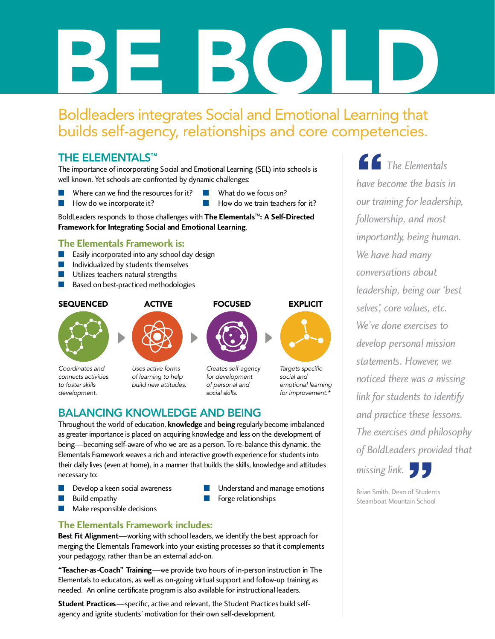# BE BOLD

# Boldleaders integrates Social and Emotional Learning that builds self-agency, relationships and core competencies.

# THE ELEMENTALS<sup>™</sup>

The importance of incorporating Social and Emotional Learning (SEL) into schools is well known. Tet schools are confronted by dynamic challenges.

- Where can we find the resources for it? Now do we focus on?<br>How do we incorporate it? Now do we train teach
- 
- 
- How do we train teachers for it?

BoldLeaders responds to those challenges with **The Elementals™: A Self-Directed Framework for Integrating Social and Emotional Learning**.

- **The Elementals Framework is:**<br> **E** Easily incorporated into any school day design
- Individualized by students themselves
- Utilizes teachers natural strengths
- Based on best-practiced methodologies

## **SEQUENCED**



*Coordinates and connects activities to foster skills development.*



*Uses active forms of learning to help build new attitudes.*



*Creates self-agency for development of personal and social skills.*

*Targets specific social and emotional learning for improvement.\**

# BALANCING KNOWLEDGE AND BEING

Throughout the world of education, **knowledge** and **being** regularly become imbalanced being—becoming self-aware of who we are as a person. To re-balance this dynamic, the Elementals Framework weaves a rich and interactive growth experience for students into Elementals Framework weaves a rich and interactive growth experience for students into their daily lives (even at home), in a manner that builds the skills, knowledge and attitudes necessary to:

- **n** Develop a keen social awareness<br>**n** Understand and manage emotions **n** Understand and manage emotions **n** Europe relationships
- 
- Make responsible decisions
- 
- Forge relationships

**The Elementals Framework includes:**<br>**Best Fit Alignment**—working with school leaders, we identify the best approach for **Best Fit Alignment**—working with school leaders, we identify the best approach for merging the Elementals Framework into your existing processes so that it complements your pedagogy, rather than be an external add-on.

**"Teacher-as-Coach" Training**—we provide two hours of in-person instruction in The  $\frac{1}{1 + \lambda}$  by the concators, as well as on-going virtual support and follow-up training as needed. An online certificate program is also available for instructional leaders.

**Student Practices**—specific, active and relevant, the Student Practices build selfagency and ignite students' motivation for their own self-development.

**1** The Elementals<br>have become the basis in *have become the basis in our training for leadership, followership, and most importantly, being human. We have had many conversations about leadership, being our 'best selves', core values, etc. We've done exercises to develop personal mission statements. However, we noticed there was a missing link for students to identify and practice these lessons. The exercises and philosophy of BoldLeaders provided that* 

*missing link.* 

Brian Smith, Dean of Students beta Studen

Steamboat Mountain School